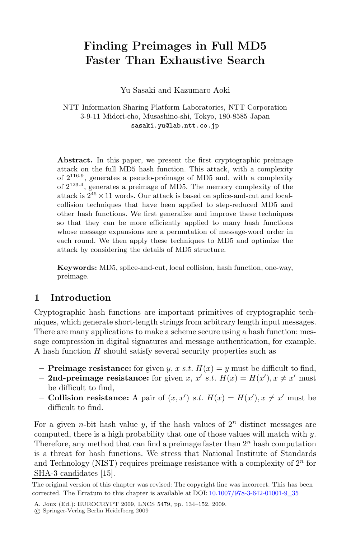# **Finding Preimages in Full MD5 Faster Than Exhaustive Search**

Yu Sasaki and Kazumaro Aoki

NTT Information Sharing Platform Laboratories, NTT Corporation 3-9-11 Midori-cho, Musashino-shi, Tokyo, 180-8585 Japan sasaki.yu@lab.ntt.co.jp

Abstract. In this paper, we present the first cryptographic preimage attack on the full MD5 hash function. This attack, with a complexity of  $2^{116.9}$ , generates a pseudo-preimage of MD5 and, with a complexity of  $2^{123.4}$ , generates a preimage of MD5. The memory complexity of the attack is  $2^{45} \times 11$  words. Our attack is based on splice-and-cut and localcollision techniques that have been applied to step-reduced MD5 and other hash functions. We first generalize and improve these techniques so that they can be more efficiently applied to many hash functions whose message expansions are a permutation of message-word order in each round. We then apply these techniques to MD5 and optimize the attack by considering the details of MD5 structure.

**Keywords:** MD5, splice-and-cut, local collision, hash function, one-way, preimage.

### **1 Introduction**

Cryptographic hash functions are important primitives of cryptographic techniques, which generate short-length strings from arbitrary length input messages. There are many applications to make a scheme secure using a hash function: message compression in digital signatures and message authentication, for example. A hash function H should satisfy several security properties such as

- **Preimage resistance:** for given y, x s.t.  $H(x) = y$  must be difficult to find,
- **2nd-preimage resistance:** for given x, x' s.t.  $H(x) = H(x')$ ,  $x \neq x'$  must be difficult to find,
- **Collision resistance:** A pair of  $(x, x')$  *s.t.*  $H(x) = H(x')$ ,  $x \neq x'$  must be difficult to find.

For a given *n*-bit hash value y, if the hash values of  $2<sup>n</sup>$  distinct messages are computed, there is a high probability that one of those values will match with  $y$ . Therefore, any method that can find a preimage faster than  $2<sup>n</sup>$  hash computation is a threat for hash functions. We stress that National Institute of Standards and Technology (NIST) requires preimage resistance with a complexity of  $2<sup>n</sup>$  for SHA-3 candidates [15].

The original version of this chapter was revised: The copyright line was incorrect. This has been corrected. The Erratum to this chapter is available at DOI: [10.1007/978-3-642-01001-9](http://dx.doi.org/10.1007/978-3-642-01001-9_35)*\_*35

A. Joux (Ed.): EUROCRYPT 2009, LNCS 5479, pp. 134–152, 2009.

c Springer-Verlag Berlin Heidelberg 2009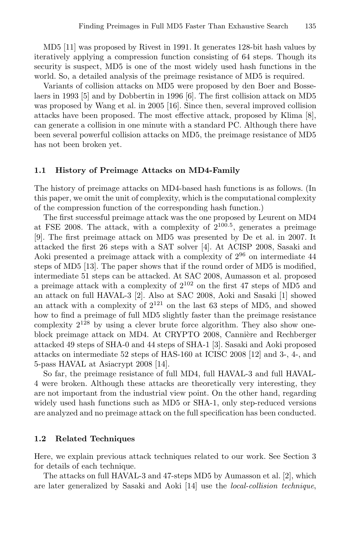MD5 [11] was proposed by Rivest in 1991. It generates 128-bit hash values by iteratively applying a compression function consisting of 64 steps. Though its security is suspect, MD5 is one of the most widely used hash functions in the world. So, a detailed analysis of the preimage resistance of MD5 is required.

Variants of collision attacks on MD5 were proposed by den Boer and Bosselaers in 1993 [5] and by Dobbertin in 1996 [6]. The first collision attack on MD5 was proposed by Wang et al. in 2005 [16]. Since then, several improved collision attacks have been proposed. The most effective attack, proposed by Klima [8], can generate a collision in one minute with a standard PC. Although there have been several powerful collision attacks on MD5, the preimage resistance of MD5 has not been broken yet.

#### **1.1 History of Preimage Attacks on MD4-Family**

The history of preimage attacks on MD4-based hash functions is as follows. (In this paper, we omit the unit of complexity, which is the computational complexity of the compression function of the corresponding hash function.)

The first successful preimage attack was the one proposed by Leurent on MD4 at FSE 2008. The attack, with a complexity of  $2^{100.5}$ , generates a preimage [9]. The first preimage attack on MD5 was presented by De et al. in 2007. It attacked the first 26 steps with a SAT solver [4]. At ACISP 2008, Sasaki and Aoki presented a preimage attack with a complexity of  $2^{96}$  on intermediate 44 steps of MD5 [13]. The paper shows that if the round order of MD5 is modified, intermediate 51 steps can be attacked. At SAC 2008, Aumasson et al. proposed a preimage attack with a complexity of  $2^{102}$  on the first 47 steps of MD5 and an attack on full HAVAL-3 [2]. Also at SAC 2008, Aoki and Sasaki [1] showed an attack with a complexity of  $2^{121}$  on the last 63 steps of MD5, and showed how to find a preimage of full MD5 slightly faster than the preimage resistance complexity  $2^{128}$  by using a clever brute force algorithm. They also show oneblock preimage attack on MD4. At CRYPTO 2008, Cannière and Rechberger attacked 49 steps of SHA-0 and 44 steps of SHA-1 [3]. Sasaki and Aoki proposed attacks on intermediate 52 steps of HAS-160 at ICISC 2008 [12] and 3-, 4-, and 5-pass HAVAL at Asiacrypt 2008 [14].

So far, the preimage resistance of full MD4, full HAVAL-3 and full HAVAL-4 were broken. Although these attacks are theoretically very interesting, they are not important from the industrial view point. On the other hand, regarding widely used hash functions such as MD5 or SHA-1, only step-reduced versions are analyzed and no preimage attack on the full specification has been conducted.

#### **1.2 Related Techniques**

Here, we explain previous attack techniques related to our work. See Section 3 for details of each technique.

The attacks on full HAVAL-3 and 47-steps MD5 by Aumasson et al. [2], which are later generalized by Sasaki and Aoki [14] use the local-collision technique,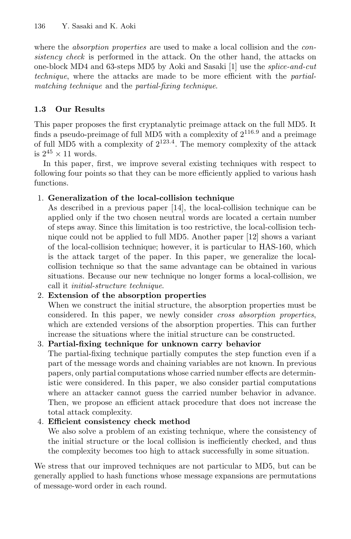where the *absorption properties* are used to make a local collision and the *con*sistency check is performed in the attack. On the other hand, the attacks on one-block MD4 and 63-steps MD5 by Aoki and Sasaki [1] use the splice-and-cut technique, where the attacks are made to be more efficient with the partialmatching technique and the partial-fixing technique.

## **1.3 Our Results**

This paper proposes the first cryptanalytic preimage attack on the full MD5. It finds a pseudo-preimage of full MD5 with a complexity of  $2^{116.9}$  and a preimage of full MD5 with a complexity of  $2^{123.4}$ . The memory complexity of the attack is  $2^{45} \times 11$  words.

In this paper, first, we improve several existing techniques with respect to following four points so that they can be more efficiently applied to various hash functions.

## 1. **Generalization of the local-collision technique**

As described in a previous paper [14], the local-collision technique can be applied only if the two chosen neutral words are located a certain number of steps away. Since this limitation is too restrictive, the local-collision technique could not be applied to full MD5. Another paper [12] shows a variant of the local-collision technique; however, it is particular to HAS-160, which is the attack target of the paper. In this paper, we generalize the localcollision technique so that the same advantage can be obtained in various situations. Because our new technique no longer forms a local-collision, we call it initial-structure technique.

## 2. **Extension of the absorption properties**

When we construct the initial structure, the absorption properties must be considered. In this paper, we newly consider cross absorption properties, which are extended versions of the absorption properties. This can further increase the situations where the initial structure can be constructed.

### 3. **Partial-fixing technique for unknown carry behavior**

The partial-fixing technique partially computes the step function even if a part of the message words and chaining variables are not known. In previous papers, only partial computations whose carried number effects are deterministic were considered. In this paper, we also consider partial computations where an attacker cannot guess the carried number behavior in advance. Then, we propose an efficient attack procedure that does not increase the total attack complexity.

## 4. **Efficient consistency check method**

We also solve a problem of an existing technique, where the consistency of the initial structure or the local collision is inefficiently checked, and thus the complexity becomes too high to attack successfully in some situation.

We stress that our improved techniques are not particular to MD5, but can be generally applied to hash functions whose message expansions are permutations of message-word order in each round.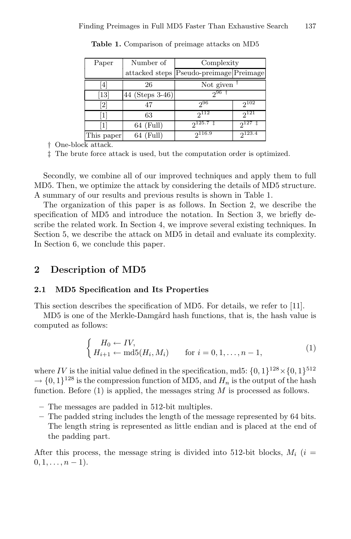| Paper      | Number of       | Complexity                              |             |
|------------|-----------------|-----------------------------------------|-------------|
|            |                 | attacked steps Pseudo-preimage Preimage |             |
| 4          | 26              | Not given                               |             |
| [13]       | 44 (Steps 3-46) | $2^{96}$                                |             |
| $[2]$      | 47              | 296                                     | $2^{102}$   |
| 1          | 63              | $2^{112}$                               | $2^{121}$   |
| 1          | $64$ (Full)     | $2^{125.7}$                             | $2^{127}$   |
| This paper | $64$ (Full)     | $2^{116.9}$                             | $2^{123.4}$ |

**Table 1.** Comparison of preimage attacks on MD5

† One-block attack.

‡ The brute force attack is used, but the computation order is optimized.

Secondly, we combine all of our improved techniques and apply them to full MD5. Then, we optimize the attack by considering the details of MD5 structure. A summary of our results and previous results is shown in Table 1.

The organization of this paper is as follows. In Section 2, we describe the specification of MD5 and introduce the notation. In Section 3, we briefly describe the related work. In Section 4, we improve several existing techniques. In Section 5, we describe the attack on MD5 in detail and evaluate its complexity. In Section 6, we conclude this paper.

### **2 Description of MD5**

### **2.1 MD5 Specification and Its Properties**

This section describes the specification of MD5. For details, we refer to [11].

MD5 is one of the Merkle-Damgård hash functions, that is, the hash value is computed as follows:

$$
\begin{cases}\nH_0 \leftarrow IV, \\
H_{i+1} \leftarrow \text{md5}(H_i, M_i) \quad \text{for } i = 0, 1, \dots, n-1,\n\end{cases} (1)
$$

where IV is the initial value defined in the specification, md5:  $\{0, 1\}^{128} \times \{0, 1\}^{512}$  $\rightarrow \{0,1\}^{128}$  is the compression function of MD5, and  $H_n$  is the output of the hash function. Before  $(1)$  is applied, the messages string M is processed as follows.

- **–** The messages are padded in 512-bit multiples.
- **–** The padded string includes the length of the message represented by 64 bits. The length string is represented as little endian and is placed at the end of the padding part.

After this process, the message string is divided into 512-bit blocks,  $M_i$  (i =  $0, 1, \ldots, n - 1$ .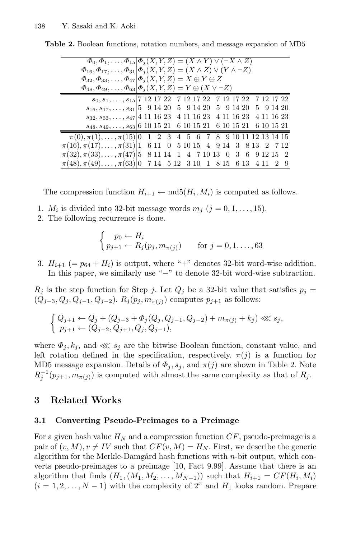| $\Phi_0, \Phi_1, \ldots, \Phi_{15}   \Phi_j(X, Y, Z) = (X \wedge Y) \vee (\neg X \wedge Z)$                        |  |  |  |  |  |  |  |  |
|--------------------------------------------------------------------------------------------------------------------|--|--|--|--|--|--|--|--|
| $\Phi_{16}, \Phi_{17}, \ldots, \Phi_{31}   \Phi_j(X, Y, Z) = (X \wedge Z) \vee (Y \wedge \neg Z)$                  |  |  |  |  |  |  |  |  |
| $\Phi_{32}, \Phi_{33}, \ldots, \Phi_{47}   \Phi_i(X, Y, Z) = X \oplus Y \oplus Z$                                  |  |  |  |  |  |  |  |  |
| $\Phi_{48}, \Phi_{49}, \ldots, \Phi_{63}   \Phi_j(X, Y, Z) = Y \oplus (X \vee \neg Z)$                             |  |  |  |  |  |  |  |  |
| $s_0, s_1, \ldots, s_{15}   7 \ 12 \ 17 \ 22 \quad 7 \ 12 \ 17 \ 22 \quad 7 \ 12 \ 17 \ 22 \quad 7 \ 12 \ 17 \ 22$ |  |  |  |  |  |  |  |  |
| $s_{16}, s_{17}, \ldots, s_{31}$ 5 9 14 20 5 9 14 20 5 9 14 20 5 9 14 20                                           |  |  |  |  |  |  |  |  |
| $s_{32}, s_{33}, \ldots, s_{47}$ 4 11 16 23 4 11 16 23 4 11 16 23 4 11 16 23                                       |  |  |  |  |  |  |  |  |
| $s_{48}, s_{49}, \ldots, s_{63}$ 6 10 15 21 6 10 15 21 6 10 15 21 6 10 15 21                                       |  |  |  |  |  |  |  |  |
| $\pi(0), \pi(1), \ldots, \pi(15)$ 0 1 2 3 4 5 6 7 8 9 10 11 12 13 14 15                                            |  |  |  |  |  |  |  |  |
| $\pi(16), \pi(17), \ldots, \pi(31)$   1 6 11 0 5 10 15 4 9 14 3 8 13 2 7 12                                        |  |  |  |  |  |  |  |  |
| $\pi(32), \pi(33), \ldots, \pi(47)$ 5 8 11 14 1 4 7 10 13 0 3 6 9 12 15 2                                          |  |  |  |  |  |  |  |  |
| $\pi(48), \pi(49), \ldots, \pi(63)$   0 7 14 5 12 3 10 1 8 15 6 13 4 11 2 9                                        |  |  |  |  |  |  |  |  |

**Table 2.** Boolean functions, rotation numbers, and message expansion of MD5

The compression function  $H_{i+1} \leftarrow \text{md5}(H_i, M_i)$  is computed as follows.

- 1.  $M_i$  is divided into 32-bit message words  $m_j$   $(j = 0, 1, \ldots, 15)$ .
- 2. The following recurrence is done.

$$
\begin{cases}\np_0 \leftarrow H_i \\
p_{j+1} \leftarrow R_j(p_j, m_{\pi(j)})\n\end{cases}
$$
 for  $j = 0, 1, ..., 63$ 

3.  $H_{i+1}$  (=  $p_{64} + H_i$ ) is output, where "+" denotes 32-bit word-wise addition. In this paper, we similarly use "−" to denote 32-bit word-wise subtraction.

 $R_j$  is the step function for Step j. Let  $Q_j$  be a 32-bit value that satisfies  $p_j =$  $(Q_{j-3}, Q_j, Q_{j-1}, Q_{j-2})$ .  $R_j(p_j, m_{\pi(i)})$  computes  $p_{j+1}$  as follows:

$$
\left\{\begin{matrix} Q_{j+1} \leftarrow Q_j + (Q_{j-3} + \varPhi_j(Q_j,Q_{j-1},Q_{j-2}) + m_{\pi(j)} + k_j) \lll s_j, \\ p_{j+1} \leftarrow (Q_{j-2},Q_{j+1},Q_j,Q_{j-1}), \end{matrix}\right.
$$

where  $\Phi_j, k_j$ , and  $\ll s_j$  are the bitwise Boolean function, constant value, and left rotation defined in the specification, respectively.  $\pi(j)$  is a function for MD5 message expansion. Details of  $\Phi_j$ ,  $s_j$ , and  $\pi(j)$  are shown in Table 2. Note  $R_j^{-1}(p_{j+1}, m_{\pi(j)})$  is computed with almost the same complexity as that of  $R_j$ .

### **3 Related Works**

### **3.1 Converting Pseudo-Preimages to a Preimage**

For a given hash value  $H_N$  and a compression function  $CF$ , pseudo-preimage is a pair of  $(v, M), v \neq IV$  such that  $CF(v, M) = H_N$ . First, we describe the generic algorithm for the Merkle-Damgård hash functions with  $n$ -bit output, which converts pseudo-preimages to a preimage [10, Fact 9.99]. Assume that there is an algorithm that finds  $(H_1,(M_1,M_2,\ldots,M_{N-1}))$  such that  $H_{i+1} = CF(H_i,M_i)$  $(i = 1, 2, \ldots, N - 1)$  with the complexity of  $2<sup>x</sup>$  and  $H_1$  looks random. Prepare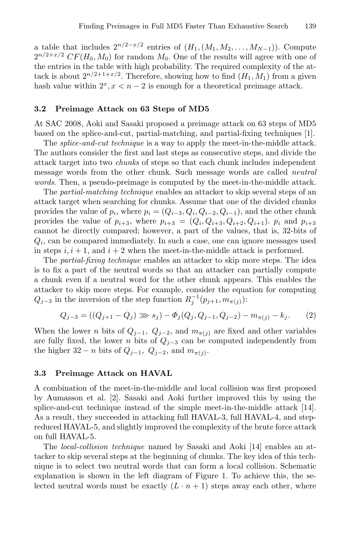a table that includes  $2^{n/2-x/2}$  entries of  $(H_1,(M_1,M_2,\ldots,M_{N-1}))$ . Compute  $2^{n/2+x/2}$  CF(H<sub>0</sub>, M<sub>0</sub>) for random M<sub>0</sub>. One of the results will agree with one of the entries in the table with high probability. The required complexity of the attack is about  $2^{n/2+1+x/2}$ . Therefore, showing how to find  $(H_1, M_1)$  from a given hash value within  $2^x, x < n - 2$  is enough for a theoretical preimage attack.

### **3.2 Preimage Attack on 63 Steps of MD5**

At SAC 2008, Aoki and Sasaki proposed a preimage attack on 63 steps of MD5 based on the splice-and-cut, partial-matching, and partial-fixing techniques [1].

The *splice-and-cut technique* is a way to apply the meet-in-the-middle attack. The authors consider the first and last steps as consecutive steps, and divide the attack target into two chunks of steps so that each chunk includes independent message words from the other chunk. Such message words are called *neutral* words. Then, a pseudo-preimage is computed by the meet-in-the-middle attack.

The partial-matching technique enables an attacker to skip several steps of an attack target when searching for chunks. Assume that one of the divided chunks provides the value of  $p_i$ , where  $p_i = (Q_{i-3}, Q_i, Q_{i-2}, Q_{i-1})$ , and the other chunk provides the value of  $p_{i+3}$ , where  $p_{i+3} = (Q_i, Q_{i+3}, Q_{i+2}, Q_{i+1})$ .  $p_i$  and  $p_{i+3}$ cannot be directly compared; however, a part of the values, that is, 32-bits of  $Q_i$ , can be compared immediately. In such a case, one can ignore messages used in steps  $i, i + 1$ , and  $i + 2$  when the meet-in-the-middle attack is performed.

The partial-fixing technique enables an attacker to skip more steps. The idea is to fix a part of the neutral words so that an attacker can partially compute a chunk even if a neutral word for the other chunk appears. This enables the attacker to skip more steps. For example, consider the equation for computing  $Q_{j-3}$  in the inversion of the step function  $R_j^{-1}(p_{j+1}, m_{\pi(j)})$ :

$$
Q_{j-3} = ((Q_{j+1} - Q_j) \gg s_j) - \Phi_j(Q_j, Q_{j-1}, Q_{j-2}) - m_{\pi(j)} - k_j.
$$
 (2)

When the lower *n* bits of  $Q_{j-1}$ ,  $Q_{j-2}$ , and  $m_{\pi(j)}$  are fixed and other variables are fully fixed, the lower *n* bits of  $Q_{i-3}$  can be computed independently from the higher  $32 - n$  bits of  $Q_{j-1}$ ,  $Q_{j-2}$ , and  $m_{\pi(j)}$ .

### **3.3 Preimage Attack on HAVAL**

A combination of the meet-in-the-middle and local collision was first proposed by Aumasson et al. [2]. Sasaki and Aoki further improved this by using the splice-and-cut technique instead of the simple meet-in-the-middle attack [14]. As a result, they succeeded in attacking full HAVAL-3, full HAVAL-4, and stepreduced HAVAL-5, and slightly improved the complexity of the brute force attack on full HAVAL-5.

The local-collision technique named by Sasaki and Aoki [14] enables an attacker to skip several steps at the beginning of chunks. The key idea of this technique is to select two neutral words that can form a local collision. Schematic explanation is shown in the left diagram of Figure 1. To achieve this, the selected neutral words must be exactly  $(L \cdot n + 1)$  steps away each other, where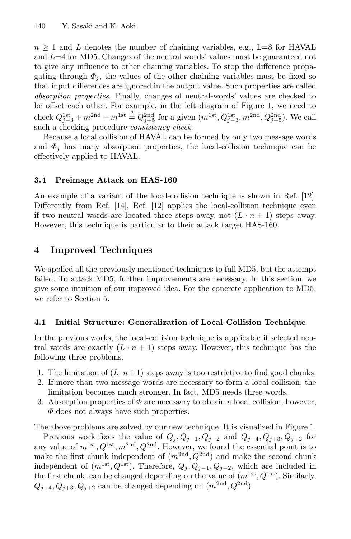$n \geq 1$  and L denotes the number of chaining variables, e.g., L=8 for HAVAL and  $L=4$  for MD5. Changes of the neutral words' values must be guaranteed not to give any influence to other chaining variables. To stop the difference propagating through  $\Phi_i$ , the values of the other chaining variables must be fixed so that input differences are ignored in the output value. Such properties are called absorption properties. Finally, changes of neutral-words' values are checked to be offset each other. For example, in the left diagram of Figure 1, we need to check  $Q_{j-3}^{1st} + m^{2nd} + m^{1st} \stackrel{?}{=} Q_{j+5}^{2nd}$  for a given  $(m^{1st}, Q_{j-3}^{1st}, m^{2nd}, Q_{j+5}^{2nd})$ . We call such a checking procedure *consistency check*.

Because a local collision of HAVAL can be formed by only two message words and  $\Phi_j$  has many absorption properties, the local-collision technique can be effectively applied to HAVAL.

## **3.4 Preimage Attack on HAS-160**

An example of a variant of the local-collision technique is shown in Ref. [12]. Differently from Ref. [14], Ref. [12] applies the local-collision technique even if two neutral words are located three steps away, not  $(L \cdot n + 1)$  steps away. However, this technique is particular to their attack target HAS-160.

## **4 Improved Techniques**

We applied all the previously mentioned techniques to full MD5, but the attempt failed. To attack MD5, further improvements are necessary. In this section, we give some intuition of our improved idea. For the concrete application to MD5, we refer to Section 5.

## **4.1 Initial Structure: Generalization of Local-Collision Technique**

In the previous works, the local-collision technique is applicable if selected neutral words are exactly  $(L \cdot n + 1)$  steps away. However, this technique has the following three problems.

- 1. The limitation of  $(L \cdot n + 1)$  steps away is too restrictive to find good chunks.
- 2. If more than two message words are necessary to form a local collision, the limitation becomes much stronger. In fact, MD5 needs three words.
- 3. Absorption properties of  $\Phi$  are necessary to obtain a local collision, however,  $\Phi$  does not always have such properties.

The above problems are solved by our new technique. It is visualized in Figure 1.

Previous work fixes the value of  $Q_i, Q_{i-1}, Q_{i-2}$  and  $Q_{i+4}, Q_{i+3}, Q_{i+2}$  for any value of  $m^{1st}, Q^{1st}, m^{2nd}, Q^{2nd}$ . However, we found the essential point is to make the first chunk independent of  $(m^{2nd}, Q^{2nd})$  and make the second chunk independent of  $(m^{1st}, Q^{1st})$ . Therefore,  $Q_j, Q_{j-1}, Q_{j-2}$ , which are included in the first chunk, can be changed depending on the value of  $(m^{1st}, Q^{1st})$ . Similarly,  $Q_{j+4}, Q_{j+3}, Q_{j+2}$  can be changed depending on  $(m^{2nd}, Q^{2nd})$ .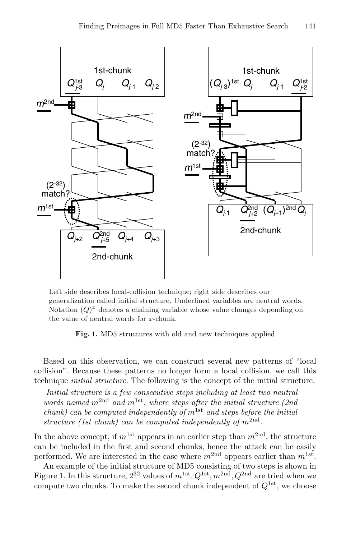

Left side describes local-collision technique; right side describes our generalization called initial structure. Underlined variables are neutral words. Notation  $(Q)^x$  denotes a chaining variable whose value changes depending on the value of neutral words for x-chunk.

**Fig. 1.** MD5 structures with old and new techniques applied

Based on this observation, we can construct several new patterns of "local collision". Because these patterns no longer form a local collision, we call this technique initial structure. The following is the concept of the initial structure.

Initial structure is a few consecutive steps including at least two neutral words named  $m^{2nd}$  and  $m^{1st}$ , where steps after the initial structure (2nd) chunk) can be computed independently of  $m^{\text{1st}}$  and steps before the initial structure (1st chunk) can be computed independently of  $m^{2nd}$ .

In the above concept, if  $m^{\text{1st}}$  appears in an earlier step than  $m^{\text{2nd}}$ , the structure can be included in the first and second chunks, hence the attack can be easily performed. We are interested in the case where  $m^{2nd}$  appears earlier than  $m^{1st}$ .

An example of the initial structure of MD5 consisting of two steps is shown in Figure 1. In this structure,  $2^{32}$  values of  $m^{1st}$ ,  $Q^{1st}$ ,  $m^{2nd}$ ,  $Q^{2nd}$  are tried when we compute two chunks. To make the second chunk independent of  $Q^{1st}$ , we choose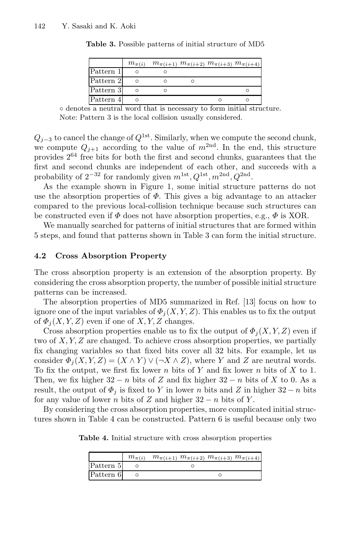|           | $m_{\pi(i)}$ |  | $m_{\pi(i+1)}$ $m_{\pi(i+2)}$ $m_{\pi(i+3)}$ $m_{\pi(i+4)}$ |
|-----------|--------------|--|-------------------------------------------------------------|
| Pattern 1 |              |  |                                                             |
| Pattern 2 | Ω            |  |                                                             |
| Pattern 3 | O            |  | O                                                           |
| Pattern 4 | О            |  |                                                             |

**Table 3.** Possible patterns of initial structure of MD5

◦ denotes a neutral word that is necessary to form initial structure. Note: Pattern 3 is the local collision usually considered.

 $Q_{j-3}$  to cancel the change of  $Q^{1st}$ . Similarly, when we compute the second chunk, we compute  $Q_{j+1}$  according to the value of  $m^{2nd}$ . In the end, this structure provides  $2^{64}$  free bits for both the first and second chunks, guarantees that the first and second chunks are independent of each other, and succeeds with a probability of  $2^{-32}$  for randomly given  $m^{\text{1st}}$ ,  $Q^{\text{1st}}$ ,  $m^{\text{2nd}}$ ,  $Q^{\text{2nd}}$ .

As the example shown in Figure 1, some initial structure patterns do not use the absorption properties of  $\Phi$ . This gives a big advantage to an attacker compared to the previous local-collision technique because such structures can be constructed even if  $\Phi$  does not have absorption properties, e.g.,  $\Phi$  is XOR.

We manually searched for patterns of initial structures that are formed within 5 steps, and found that patterns shown in Table 3 can form the initial structure.

### **4.2 Cross Absorption Property**

The cross absorption property is an extension of the absorption property. By considering the cross absorption property, the number of possible initial structure patterns can be increased.

The absorption properties of MD5 summarized in Ref. [13] focus on how to ignore one of the input variables of  $\Phi_i(X, Y, Z)$ . This enables us to fix the output of  $\Phi_i(X, Y, Z)$  even if one of X, Y, Z changes.

Cross absorption properties enable us to fix the output of  $\Phi_i(X, Y, Z)$  even if two of X, Y, Z are changed. To achieve cross absorption properties, we partially fix changing variables so that fixed bits cover all 32 bits. For example, let us consider  $\Phi_i(X, Y, Z) = (X \wedge Y) \vee (\neg X \wedge Z)$ , where Y and Z are neutral words. To fix the output, we first fix lower n bits of Y and fix lower n bits of X to 1. Then, we fix higher  $32 - n$  bits of Z and fix higher  $32 - n$  bits of X to 0. As a result, the output of  $\Phi_j$  is fixed to Y in lower n bits and Z in higher 32 − n bits for any value of lower n bits of Z and higher  $32 - n$  bits of Y.

By considering the cross absorption properties, more complicated initial structures shown in Table 4 can be constructed. Pattern 6 is useful because only two

**Table 4.** Initial structure with cross absorption properties

|           | $m_{\pi(i)}$ $m_{\pi(i+1)}$ $m_{\pi(i+2)}$ $m_{\pi(i+3)}$ $m_{\pi(i+4)}$ |  |
|-----------|--------------------------------------------------------------------------|--|
| Pattern 5 |                                                                          |  |
| Pattern 6 |                                                                          |  |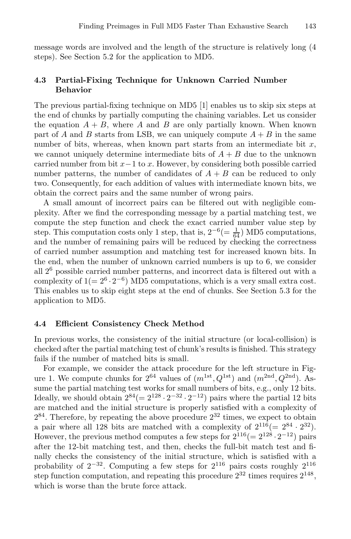message words are involved and the length of the structure is relatively long (4 steps). See Section 5.2 for the application to MD5.

### **4.3 Partial-Fixing Technique for Unknown Carried Number Behavior**

The previous partial-fixing technique on MD5 [1] enables us to skip six steps at the end of chunks by partially computing the chaining variables. Let us consider the equation  $A + B$ , where A and B are only partially known. When known part of A and B starts from LSB, we can uniquely compute  $A + B$  in the same number of bits, whereas, when known part starts from an intermediate bit  $x$ , we cannot uniquely determine intermediate bits of  $A + B$  due to the unknown carried number from bit  $x-1$  to x. However, by considering both possible carried number patterns, the number of candidates of  $A + B$  can be reduced to only two. Consequently, for each addition of values with intermediate known bits, we obtain the correct pairs and the same number of wrong pairs.

A small amount of incorrect pairs can be filtered out with negligible complexity. After we find the corresponding message by a partial matching test, we compute the step function and check the exact carried number value step by step. This computation costs only 1 step, that is,  $2^{-6} (= \frac{1}{64})$  MD5 computations, and the number of remaining pairs will be reduced by checking the correctness of carried number assumption and matching test for increased known bits. In the end, when the number of unknown carried numbers is up to 6, we consider all 2<sup>6</sup> possible carried number patterns, and incorrect data is filtered out with a complexity of  $1(= 2^6 \cdot 2^{-6})$  MD5 computations, which is a very small extra cost. This enables us to skip eight steps at the end of chunks. See Section 5.3 for the application to MD5.

#### **4.4 Efficient Consistency Check Method**

In previous works, the consistency of the initial structure (or local-collision) is checked after the partial matching test of chunk's results is finished. This strategy fails if the number of matched bits is small.

For example, we consider the attack procedure for the left structure in Figure 1. We compute chunks for  $2^{64}$  values of  $(m^{1st}, Q^{1st})$  and  $(m^{2nd}, Q^{2nd})$ . Assume the partial matching test works for small numbers of bits, e.g., only 12 bits. Ideally, we should obtain  $2^{84} (= 2^{128} \cdot 2^{-32} \cdot 2^{-12})$  pairs where the partial 12 bits are matched and the initial structure is properly satisfied with a complexity of  $2^{84}$ . Therefore, by repeating the above procedure  $2^{32}$  times, we expect to obtain a pair where all 128 bits are matched with a complexity of  $2^{116} (= 2^{84} \cdot 2^{32}).$ However, the previous method computes a few steps for  $2^{116} (= 2^{128} \cdot 2^{-12})$  pairs after the 12-bit matching test, and then, checks the full-bit match test and finally checks the consistency of the initial structure, which is satisfied with a probability of  $2^{-32}$ . Computing a few steps for  $2^{116}$  pairs costs roughly  $2^{116}$ step function computation, and repeating this procedure  $2^{32}$  times requires  $2^{148}$ , which is worse than the brute force attack.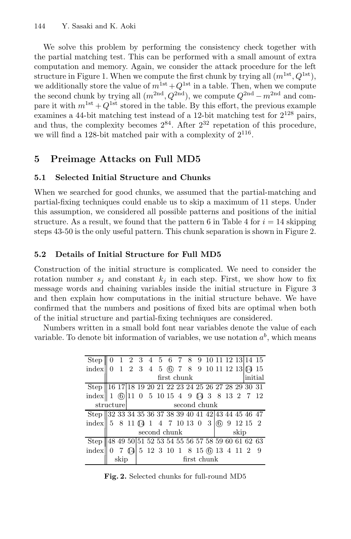We solve this problem by performing the consistency check together with the partial matching test. This can be performed with a small amount of extra computation and memory. Again, we consider the attack procedure for the left structure in Figure 1. When we compute the first chunk by trying all  $(m^{1st}, Q^{1st})$ , we additionally store the value of  $m^{1st} + Q^{1st}$  in a table. Then, when we compute the second chunk by trying all  $(m^{2nd}, Q^{2nd})$ , we compute  $Q^{2nd} - m^{2nd}$  and compare it with  $m^{1st} + Q^{1st}$  stored in the table. By this effort, the previous example examines a 44-bit matching test instead of a 12-bit matching test for  $2^{128}$  pairs, and thus, the complexity becomes  $2^{84}$ . After  $2^{32}$  repetation of this procedure, we will find a 128-bit matched pair with a complexity of  $2^{116}$ .

## **5 Preimage Attacks on Full MD5**

## **5.1 Selected Initial Structure and Chunks**

When we searched for good chunks, we assumed that the partial-matching and partial-fixing techniques could enable us to skip a maximum of 11 steps. Under this assumption, we considered all possible patterns and positions of the initial structure. As a result, we found that the pattern 6 in Table 4 for  $i = 14$  skipping steps 43-50 is the only useful pattern. This chunk separation is shown in Figure 2.

## **5.2 Details of Initial Structure for Full MD5**

Construction of the initial structure is complicated. We need to consider the rotation number  $s_i$  and constant  $k_i$  in each step. First, we show how to fix message words and chaining variables inside the initial structure in Figure 3 and then explain how computations in the initial structure behave. We have confirmed that the numbers and positions of fixed bits are optimal when both of the initial structure and partial-fixing techniques are considered.

Numbers written in a small bold font near variables denote the value of each variable. To denote bit information of variables, we use notation  $a^b$ , which means

| Step                                                                                                     |                           |                      |  |  |             |  |                                                                                                                                                             |  |  |         |  |  |  | $0 \quad 1 \quad 2 \quad 3 \quad 4 \quad 5 \quad 6 \quad 7 \quad 8 \quad 9 \quad 10 \quad 11 \quad 12 \quad 13 \quad 14 \quad 15$ |
|----------------------------------------------------------------------------------------------------------|---------------------------|----------------------|--|--|-------------|--|-------------------------------------------------------------------------------------------------------------------------------------------------------------|--|--|---------|--|--|--|-----------------------------------------------------------------------------------------------------------------------------------|
| index    0 1 2 3 4 5 6 7 8 9 10 11 12 13 $(4)$ 15                                                        |                           |                      |  |  |             |  |                                                                                                                                                             |  |  |         |  |  |  |                                                                                                                                   |
|                                                                                                          |                           | first chunk          |  |  |             |  |                                                                                                                                                             |  |  | initial |  |  |  |                                                                                                                                   |
| Step 16 17 18 19 20 21 22 23 24 25 26 27 28 29 30 31                                                     |                           |                      |  |  |             |  |                                                                                                                                                             |  |  |         |  |  |  |                                                                                                                                   |
| index 1 6 11 0 5 10 15 4 9 $\overline{4}$ 3 8 13 2 7 12                                                  |                           |                      |  |  |             |  |                                                                                                                                                             |  |  |         |  |  |  |                                                                                                                                   |
|                                                                                                          | second chunk<br>structure |                      |  |  |             |  |                                                                                                                                                             |  |  |         |  |  |  |                                                                                                                                   |
| Step 32 33 34 35 36 37 38 39 40 41 42 43 44 45 46 47                                                     |                           |                      |  |  |             |  |                                                                                                                                                             |  |  |         |  |  |  |                                                                                                                                   |
| index $\begin{bmatrix} 5 & 8 & 11 & 0 & 1 & 4 & 7 & 10 & 13 & 0 & 3 & 0 & 9 & 12 & 15 & 2 \end{bmatrix}$ |                           |                      |  |  |             |  |                                                                                                                                                             |  |  |         |  |  |  |                                                                                                                                   |
|                                                                                                          |                           | second chunk<br>skip |  |  |             |  |                                                                                                                                                             |  |  |         |  |  |  |                                                                                                                                   |
| Step   48 49 50 51 52 53 54 55 56 57 58 59 60 61 62 63                                                   |                           |                      |  |  |             |  |                                                                                                                                                             |  |  |         |  |  |  |                                                                                                                                   |
| index                                                                                                    |                           |                      |  |  |             |  | $0 \quad 7 \quad \textcircled{4} \mid 5 \quad 12 \quad 3 \quad 10 \quad 1 \quad 8 \quad 15 \quad \textcircled{6} \quad 13 \quad 4 \quad 11 \quad 2 \quad 9$ |  |  |         |  |  |  |                                                                                                                                   |
|                                                                                                          |                           | skip                 |  |  | first chunk |  |                                                                                                                                                             |  |  |         |  |  |  |                                                                                                                                   |

**Fig. 2.** Selected chunks for full-round MD5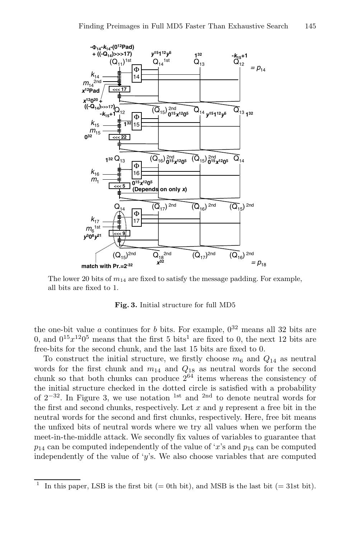

The lower 20 bits of  $m_{14}$  are fixed to satisfy the message padding. For example, all bits are fixed to 1.

**Fig. 3.** Initial structure for full MD5

the one-bit value a continues for b bits. For example,  $0^{32}$  means all 32 bits are 0, and  $0^{15}x^{12}0^5$  means that the first 5 bits<sup>1</sup> are fixed to 0, the next 12 bits are free-bits for the second chunk, and the last 15 bits are fixed to 0.

To construct the initial structure, we firstly choose  $m_6$  and  $Q_{14}$  as neutral words for the first chunk and  $m_{14}$  and  $Q_{18}$  as neutral words for the second chunk so that both chunks can produce  $2^{64}$  items whereas the consistency of the initial structure checked in the dotted circle is satisfied with a probability of  $2^{-32}$ . In Figure 3, we use notation <sup>1st</sup> and <sup>2nd</sup> to denote neutral words for the first and second chunks, respectively. Let  $x$  and  $y$  represent a free bit in the neutral words for the second and first chunks, respectively. Here, free bit means the unfixed bits of neutral words where we try all values when we perform the meet-in-the-middle attack. We secondly fix values of variables to guarantee that  $p_{14}$  can be computed independently of the value of 'x's and  $p_{18}$  can be computed independently of the value of 'y's. We also choose variables that are computed

In this paper, LSB is the first bit  $(= 0$ th bit), and MSB is the last bit  $(= 31$ st bit).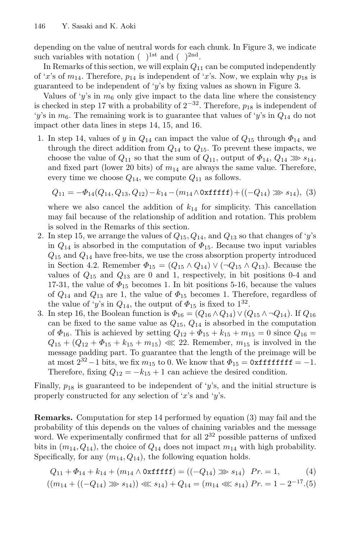depending on the value of neutral words for each chunk. In Figure 3, we indicate such variables with notation  $( )$ <sup>1st</sup> and  $( )$ <sup>2nd</sup>.

In Remarks of this section, we will explain  $Q_{11}$  can be computed independently of 'x's of  $m_{14}$ . Therefore,  $p_{14}$  is independent of 'x's. Now, we explain why  $p_{18}$  is guaranteed to be independent of 'y's by fixing values as shown in Figure 3.

Values of 'y's in  $m<sub>6</sub>$  only give impact to the data line where the consistency is checked in step 17 with a probability of  $2^{-32}$ . Therefore,  $p_{18}$  is independent of 'y's in  $m_6$ . The remaining work is to guarantee that values of 'y's in  $Q_{14}$  do not impact other data lines in steps 14, 15, and 16.

1. In step 14, values of y in  $Q_{14}$  can impact the value of  $Q_{15}$  through  $\Phi_{14}$  and through the direct addition from  $Q_{14}$  to  $Q_{15}$ . To prevent these impacts, we choose the value of  $Q_{11}$  so that the sum of  $Q_{11}$ , output of  $\Phi_{14}$ ,  $Q_{14} \gg s_{14}$ , and fixed part (lower 20 bits) of  $m_{14}$  are always the same value. Therefore, every time we choose  $Q_{14}$ , we compute  $Q_{11}$  as follows.

$$
Q_{11} = -\Phi_{14}(Q_{14}, Q_{13}, Q_{12}) - k_{14} - (m_{14} \wedge 0 \times \text{ffff}) + ((-Q_{14}) \gg s_{14}), (3)
$$

where we also cancel the addition of  $k_{14}$  for simplicity. This cancellation may fail because of the relationship of addition and rotation. This problem is solved in the Remarks of this section.

- 2. In step 15, we arrange the values of  $Q_{15}$ ,  $Q_{14}$ , and  $Q_{13}$  so that changes of 'y's in  $Q_{14}$  is absorbed in the computation of  $\Phi_{15}$ . Because two input variables  $Q_{15}$  and  $Q_{14}$  have free-bits, we use the cross absorption property introduced in Section 4.2. Remember  $\Phi_{15} = (Q_{15} \wedge Q_{14}) \vee (\neg Q_{15} \wedge Q_{13})$ . Because the values of  $Q_{15}$  and  $Q_{13}$  are 0 and 1, respectively, in bit positions 0-4 and 17-31, the value of  $\Phi_{15}$  becomes 1. In bit positions 5-16, because the values of  $Q_{14}$  and  $Q_{13}$  are 1, the value of  $\Phi_{15}$  becomes 1. Therefore, regardless of the value of 'y's in  $Q_{14}$ , the output of  $\Phi_{15}$  is fixed to  $1^{32}$ .
- 3. In step 16, the Boolean function is  $\Phi_{16} = (Q_{16} \wedge Q_{14}) \vee (Q_{15} \wedge \neg Q_{14})$ . If  $Q_{16}$ can be fixed to the same value as  $Q_{15}$ ,  $Q_{14}$  is absorbed in the computation of  $\Phi_{16}$ . This is achieved by setting  $Q_{12} + \Phi_{15} + k_{15} + m_{15} = 0$  since  $Q_{16} =$  $Q_{15} + (Q_{12} + \Phi_{15} + k_{15} + m_{15}) \ll 22$ . Remember,  $m_{15}$  is involved in the message padding part. To guarantee that the length of the preimage will be at most  $2^{32} - 1$  bits, we fix  $m_{15}$  to 0. We know that  $\Phi_{15} = 0$ xfffffffff = -1. Therefore, fixing  $Q_{12} = -k_{15} + 1$  can achieve the desired condition.

Finally,  $p_{18}$  is guaranteed to be independent of 'y's, and the initial structure is properly constructed for any selection of 'x's and 'y's.

**Remarks.** Computation for step 14 performed by equation (3) may fail and the probability of this depends on the values of chaining variables and the message word. We experimentally confirmed that for all  $2^{32}$  possible patterns of unfixed bits in  $(m_{14}, Q_{14})$ , the choice of  $Q_{14}$  does not impact  $m_{14}$  with high probability. Specifically, for any  $(m_{14}, Q_{14})$ , the following equation holds.

$$
Q_{11} + \Phi_{14} + k_{14} + (m_{14} \wedge \text{Oxfffff}) = ((-Q_{14}) \gg s_{14}) \text{ } Pr. = 1,
$$
 (4)

$$
((m_{14} + ((-Q_{14}) \gg s_{14})) \ll s_{14}) + Q_{14} = (m_{14} \ll s_{14}) \, Pr. = 1 - 2^{-17}. (5)
$$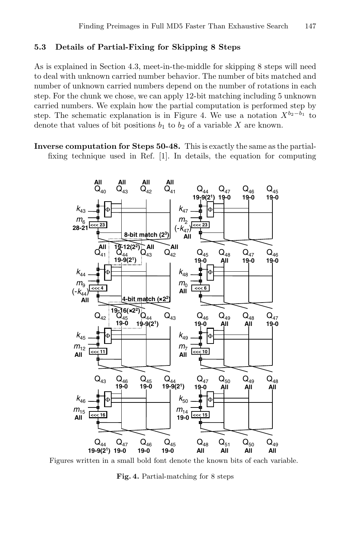### **5.3 Details of Partial-Fixing for Skipping 8 Steps**

As is explained in Section 4.3, meet-in-the-middle for skipping 8 steps will need to deal with unknown carried number behavior. The number of bits matched and number of unknown carried numbers depend on the number of rotations in each step. For the chunk we chose, we can apply 12-bit matching including 5 unknown carried numbers. We explain how the partial computation is performed step by step. The schematic explanation is in Figure 4. We use a notation  $X^{b_2-b_1}$  to denote that values of bit positions  $b_1$  to  $b_2$  of a variable X are known.

**Inverse computation for Steps 50-48.** This is exactly the same as the partialfixing technique used in Ref. [1]. In details, the equation for computing



Figures written in a small bold font denote the known bits of each variable.

**Fig. 4.** Partial-matching for 8 steps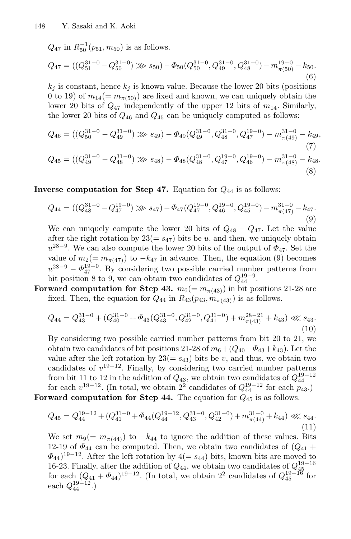$Q_{47}$  in  $R_{50}^{-1}(p_{51}, m_{50})$  is as follows.

$$
Q_{47} = ((Q_{51}^{31-0} - Q_{50}^{31-0}) \gg s_{50}) - \Phi_{50}(Q_{50}^{31-0}, Q_{49}^{31-0}, Q_{48}^{31-0}) - m_{\pi(50)}^{19-0} - k_{50}.
$$
\n
$$
(6)
$$

 $k_j$  is constant, hence  $k_j$  is known value. Because the lower 20 bits (positions 0 to 19) of  $m_{14} (= m_{\pi(50)})$  are fixed and known, we can uniquely obtain the lower 20 bits of  $Q_{47}$  independently of the upper 12 bits of  $m_{14}$ . Similarly, the lower 20 bits of  $Q_{46}$  and  $Q_{45}$  can be uniquely computed as follows:

$$
Q_{46} = ((Q_{50}^{31-0} - Q_{49}^{31-0}) \gg s_{49}) - \Phi_{49}(Q_{49}^{31-0}, Q_{48}^{31-0}, Q_{47}^{19-0}) - m_{\pi(49)}^{31-0} - k_{49},
$$
\n(7)

$$
Q_{45} = ((Q_{49}^{31-0} - Q_{48}^{31-0}) \gg s_{48}) - \Phi_{48}(Q_{48}^{31-0}, Q_{47}^{19-0}, Q_{46}^{19-0}) - m_{\pi(48)}^{31-0} - k_{48}.
$$
\n(8)

**Inverse computation for Step 47.** Equation for  $Q_{44}$  is as follows:

$$
Q_{44} = ((Q_{48}^{31-0} - Q_{47}^{19-0}) \gg s_{47}) - \Phi_{47}(Q_{47}^{19-0}, Q_{46}^{19-0}, Q_{45}^{19-0}) - m_{\pi(47)}^{31-0} - k_{47}.
$$
\n(9)

We can uniquely compute the lower 20 bits of  $Q_{48} - Q_{47}$ . Let the value after the right rotation by  $23(=s_47)$  bits be u, and then, we uniquely obtain  $u^{28-9}$ . We can also compute the lower 20 bits of the output of  $\Phi_{47}$ . Set the value of  $m_2(= m_{\pi(47)})$  to  $-k_{47}$  in advance. Then, the equation (9) becomes  $u^{28-9} - \Phi_{47}^{19-0}$ . By considering two possible carried number patterns from bit position 8 to 9, we can obtain two candidates of  $Q_{44}^{19-9}$ .

**Forward computation for Step 43.**  $m_6(= m_{\pi(43)})$  in bit positions 21-28 are fixed. Then, the equation for  $Q_{44}$  in  $R_{43}(p_{43}, m_{\pi(43)})$  is as follows.

$$
Q_{44} = Q_{43}^{31-0} + (Q_{40}^{31-0} + \Phi_{43}(Q_{43}^{31-0}, Q_{42}^{31-0}, Q_{41}^{31-0}) + m_{\pi(43)}^{28-21} + k_{43}) \ll s_{43}.
$$
\n
$$
(10)
$$

By considering two possible carried number patterns from bit 20 to 21, we obtain two candidates of bit positions 21-28 of  $m_6+(Q_{40}+\Phi_{43}+k_{43})$ . Let the value after the left rotation by  $23(=s_{43})$  bits be v, and thus, we obtain two candidates of  $v^{19-12}$ . Finally, by considering two carried number patterns from bit 11 to 12 in the addition of  $Q_{43}$ , we obtain two candidates of  $Q_{44}^{19-12}$ for each  $v^{19-12}$ . (In total, we obtain  $2^2$  candidates of  $Q_{44}^{19-12}$  for each  $p_{43}$ .) **Forward computation for Step 44.** The equation for  $Q_{45}$  is as follows.

$$
Q_{45} = Q_{44}^{19-12} + (Q_{41}^{31-0} + \Phi_{44}(Q_{44}^{19-12}, Q_{43}^{31-0}, Q_{42}^{31-0}) + m_{\pi(44)}^{31-0} + k_{44}) \ll 11)
$$
\n
$$
(11)
$$

We set  $m_9(= m_{\pi(44)})$  to  $-k_{44}$  to ignore the addition of these values. Bits 12-19 of  $\Phi_{44}$  can be computed. Then, we obtain two candidates of  $(Q_{41} +$  $\Phi_{44}$ <sup>19−12</sup>. After the left rotation by 4(=  $s_{44}$ ) bits, known bits are moved to 16-23. Finally, after the addition of  $Q_{44}$ , we obtain two candidates of  $Q_{45}^{19-16}$ for each  $(Q_{41} + \Phi_{44})^{19-12}$ . (In total, we obtain 2<sup>2</sup> candidates of  $Q_{45}^{19-16}$  for each  $Q_{44}^{19-12}$ .)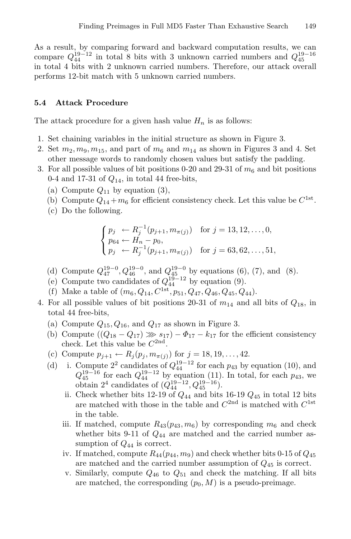As a result, by comparing forward and backward computation results, we can compare  $Q_{44}^{19-12}$  in total 8 bits with 3 unknown carried numbers and  $Q_{45}^{19-16}$ in total 4 bits with 2 unknown carried numbers. Therefore, our attack overall performs 12-bit match with 5 unknown carried numbers.

### **5.4 Attack Procedure**

The attack procedure for a given hash value  $H_n$  is as follows:

- 1. Set chaining variables in the initial structure as shown in Figure 3.
- 2. Set  $m_2, m_9, m_{15}$ , and part of  $m_6$  and  $m_{14}$  as shown in Figures 3 and 4. Set other message words to randomly chosen values but satisfy the padding.
- 3. For all possible values of bit positions 0-20 and 29-31 of  $m<sub>6</sub>$  and bit positions 0-4 and 17-31 of  $Q_{14}$ , in total 44 free-bits,
	- (a) Compute  $Q_{11}$  by equation (3),
	- (b) Compute  $Q_{14} + m_6$  for efficient consistency check. Let this value be  $C^{1st}$ .
	- (c) Do the following.

$$
\begin{cases}\np_j \leftarrow R_j^{-1}(p_{j+1}, m_{\pi(j)}) & \text{for } j = 13, 12, \dots, 0, \\
p_{64} \leftarrow H_n - p_0, \\
p_j \leftarrow R_j^{-1}(p_{j+1}, m_{\pi(j)}) & \text{for } j = 63, 62, \dots, 51,\n\end{cases}
$$

- (d) Compute  $Q_{47}^{19-0}$ ,  $Q_{46}^{19-0}$ , and  $Q_{45}^{19-0}$  by equations (6), (7), and (8).
- (e) Compute two candidates of  $Q_{44}^{19-12}$  by equation (9).
- (f) Make a table of  $(m_6, Q_{14}, C^{1st}, p_{51}, Q_{47}, Q_{46}, Q_{45}, Q_{44}).$
- 4. For all possible values of bit positions 20-31 of  $m_{14}$  and all bits of  $Q_{18}$ , in total 44 free-bits,
	- (a) Compute  $Q_{15}$ ,  $Q_{16}$ , and  $Q_{17}$  as shown in Figure 3.
	- (b) Compute  $((Q_{18}-Q_{17})\gg s_{17})-\Phi_{17}-k_{17}$  for the efficient consistency check. Let this value be  $C^{2nd}$ .
	- (c) Compute  $p_{j+1} \leftarrow R_j(p_j, m_{\pi(j)})$  for  $j = 18, 19, ..., 42$ .
	- (d) i. Compute  $2^2$  candidates of  $Q_{44}^{19-12}$  for each  $p_{43}$  by equation (10), and  $Q_{45}^{19-16}$  for each  $Q_{44}^{19-12}$  by equation (11). In total, for each  $p_{43}$ , we obtain  $2^4$  candidates of  $(Q_{44}^{19-12}, Q_{45}^{19-16})$ .
		- ii. Check whether bits 12-19 of  $Q_{44}$  and bits 16-19  $Q_{45}$  in total 12 bits are matched with those in the table and  $C^{2nd}$  is matched with  $C^{1st}$ in the table.
		- iii. If matched, compute  $R_{43}(p_{43}, m_6)$  by corresponding  $m_6$  and check whether bits 9-11 of  $Q_{44}$  are matched and the carried number assumption of  $Q_{44}$  is correct.
		- iv. If matched, compute  $R_{44}(p_{44}, m_9)$  and check whether bits 0-15 of  $Q_{45}$ are matched and the carried number assumption of Q<sup>45</sup> is correct.
		- v. Similarly, compute  $Q_{46}$  to  $Q_{51}$  and check the matching. If all bits are matched, the corresponding  $(p_0, M)$  is a pseudo-preimage.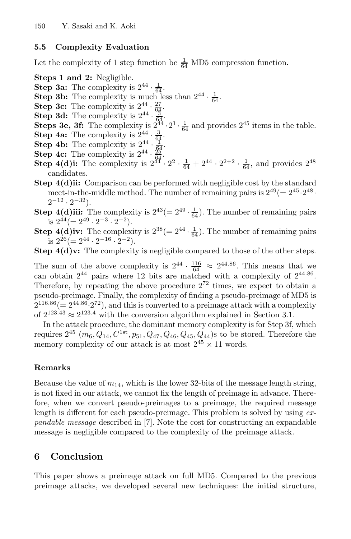### **5.5 Complexity Evaluation**

Let the complexity of 1 step function be  $\frac{1}{64}$  MD5 compression function.

**Steps 1 and 2:** Negligible.

- **Step 3a:** The complexity is  $2^{44} \cdot \frac{1}{64}$ .
- **Step 3b:** The complexity is much less than  $2^{44} \cdot \frac{1}{64}$ .
- **Step 3c:** The complexity is  $2^{44} \cdot \frac{27}{64}$ .
- **Step 3d:** The complexity is  $2^{44} \cdot \frac{3}{6}$  $\frac{3}{64}$  .
- **Steps 3e, 3f:** The complexity is  $2^{44} \cdot 2^1 \cdot \frac{1}{64}$  and provides  $2^{45}$  items in the table.
- **Step 4a:** The complexity is  $2^{44} \cdot \frac{3}{64}$ .
- **Step 4b:** The complexity is  $2^{44} \cdot \frac{1}{64}$ .
- **Step 4c:** The complexity is  $2^{44} \cdot \frac{25}{94}$ .
- **Step 4(d)i:** The complexity is  $2^{44} \cdot 2^2 \cdot \frac{1}{64} + 2^{44} \cdot 2^{2+2} \cdot \frac{1}{64}$ , and provides  $2^{48}$ candidates.
- **Step 4(d)ii:** Comparison can be performed with negligible cost by the standard meet-in-the-middle method. The number of remaining pairs is  $2^{49} (= 2^{45} \cdot 2^{48} \cdot$  $2^{-12} \cdot 2^{-32}$ ).
- **Step 4(d)iii:** The complexity is  $2^{43} = 2^{49} \cdot \frac{1}{64}$ . The number of remaining pairs is  $2^{44} (= 2^{49} \cdot 2^{-3} \cdot 2^{-2}).$
- **Step 4(d)iv:** The complexity is  $2^{38} (= 2^{44} \cdot \frac{1}{64})$ . The number of remaining pairs is  $2^{26} (= 2^{44} \cdot 2^{-16} \cdot 2^{-2}).$
- **Step 4(d)v:** The complexity is negligible compared to those of the other steps.

The sum of the above complexity is  $2^{44} \cdot \frac{116}{64} \approx 2^{44.86}$ . This means that we can obtain  $2^{44}$  pairs where 12 bits are matched with a complexity of  $2^{44.86}$ . Therefore, by repeating the above procedure  $2^{72}$  times, we expect to obtain a pseudo-preimage. Finally, the complexity of finding a pseudo-preimage of MD5 is  $2^{116.86}$  (=  $2^{44.86}$  $2^{72}$ ), and this is converted to a preimage attack with a complexity of  $2^{123.43} \approx 2^{123.4}$  with the conversion algorithm explained in Section 3.1.

In the attack procedure, the dominant memory complexity is for Step 3f, which requires  $2^{45}$   $(m_6, Q_{14}, C^{1st}, p_{51}, Q_{47}, Q_{46}, Q_{45}, Q_{44})$ s to be stored. Therefore the memory complexity of our attack is at most  $2^{45} \times 11$  words.

### **Remarks**

Because the value of  $m_{14}$ , which is the lower 32-bits of the message length string, is not fixed in our attack, we cannot fix the length of preimage in advance. Therefore, when we convert pseudo-preimages to a preimage, the required message length is different for each pseudo-preimage. This problem is solved by using  $ex$ pandable message described in [7]. Note the cost for constructing an expandable message is negligible compared to the complexity of the preimage attack.

## **6 Conclusion**

This paper shows a preimage attack on full MD5. Compared to the previous preimage attacks, we developed several new techniques: the initial structure,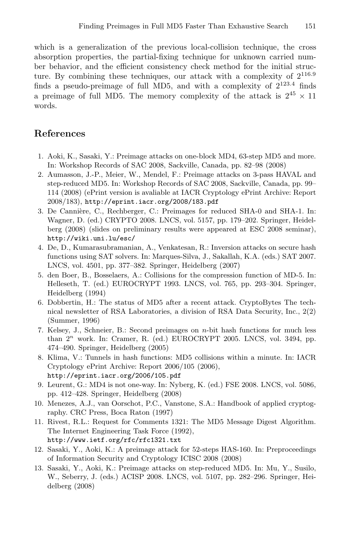which is a generalization of the previous local-collision technique, the cross absorption properties, the partial-fixing technique for unknown carried number behavior, and the efficient consistency check method for the initial structure. By combining these techniques, our attack with a complexity of  $2^{116.9}$ finds a pseudo-preimage of full MD5, and with a complexity of  $2^{123.4}$  finds a preimage of full MD5. The memory complexity of the attack is  $2^{45} \times 11$ words.

## **References**

- 1. Aoki, K., Sasaki, Y.: Preimage attacks on one-block MD4, 63-step MD5 and more. In: Workshop Records of SAC 2008, Sackville, Canada, pp. 82–98 (2008)
- 2. Aumasson, J.-P., Meier, W., Mendel, F.: Preimage attacks on 3-pass HAVAL and step-reduced MD5. In: Workshop Records of SAC 2008, Sackville, Canada, pp. 99– 114 (2008) (ePrint version is avaliable at IACR Cryptology ePrint Archive: Report 2008/183), http://eprint.iacr.org/2008/183.pdf
- 3. De Cannière, C., Rechberger, C.: Preimages for reduced SHA-0 and SHA-1. In: Wagner, D. (ed.) CRYPTO 2008. LNCS, vol. 5157, pp. 179–202. Springer, Heidelberg (2008) (slides on preliminary results were appeared at ESC 2008 seminar), http://wiki.uni.lu/esc/
- 4. De, D., Kumarasubramanian, A., Venkatesan, R.: Inversion attacks on secure hash functions using SAT solvers. In: Marques-Silva, J., Sakallah, K.A. (eds.) SAT 2007. LNCS, vol. 4501, pp. 377–382. Springer, Heidelberg (2007)
- 5. den Boer, B., Bosselaers, A.: Collisions for the compression function of MD-5. In: Helleseth, T. (ed.) EUROCRYPT 1993. LNCS, vol. 765, pp. 293–304. Springer, Heidelberg (1994)
- 6. Dobbertin, H.: The status of MD5 after a recent attack. CryptoBytes The technical newsletter of RSA Laboratories, a division of RSA Data Security, Inc., 2(2) (Summer, 1996)
- 7. Kelsey, J., Schneier, B.: Second preimages on n-bit hash functions for much less than  $2<sup>n</sup>$  work. In: Cramer, R. (ed.) EUROCRYPT 2005. LNCS, vol. 3494, pp. 474–490. Springer, Heidelberg (2005)
- 8. Klima, V.: Tunnels in hash functions: MD5 collisions within a minute. In: IACR Cryptology ePrint Archive: Report 2006/105 (2006), http://eprint.iacr.org/2006/105.pdf
- 9. Leurent, G.: MD4 is not one-way. In: Nyberg, K. (ed.) FSE 2008. LNCS, vol. 5086, pp. 412–428. Springer, Heidelberg (2008)
- 10. Menezes, A.J., van Oorschot, P.C., Vanstone, S.A.: Handbook of applied cryptography. CRC Press, Boca Raton (1997)
- 11. Rivest, R.L.: Request for Comments 1321: The MD5 Message Digest Algorithm. The Internet Engineering Task Force (1992), http://www.ietf.org/rfc/rfc1321.txt
- 12. Sasaki, Y., Aoki, K.: A preimage attack for 52-steps HAS-160. In: Preproceedings of Information Security and Cryptology ICISC 2008 (2008)
- 13. Sasaki, Y., Aoki, K.: Preimage attacks on step-reduced MD5. In: Mu, Y., Susilo, W., Seberry, J. (eds.) ACISP 2008. LNCS, vol. 5107, pp. 282–296. Springer, Heidelberg (2008)